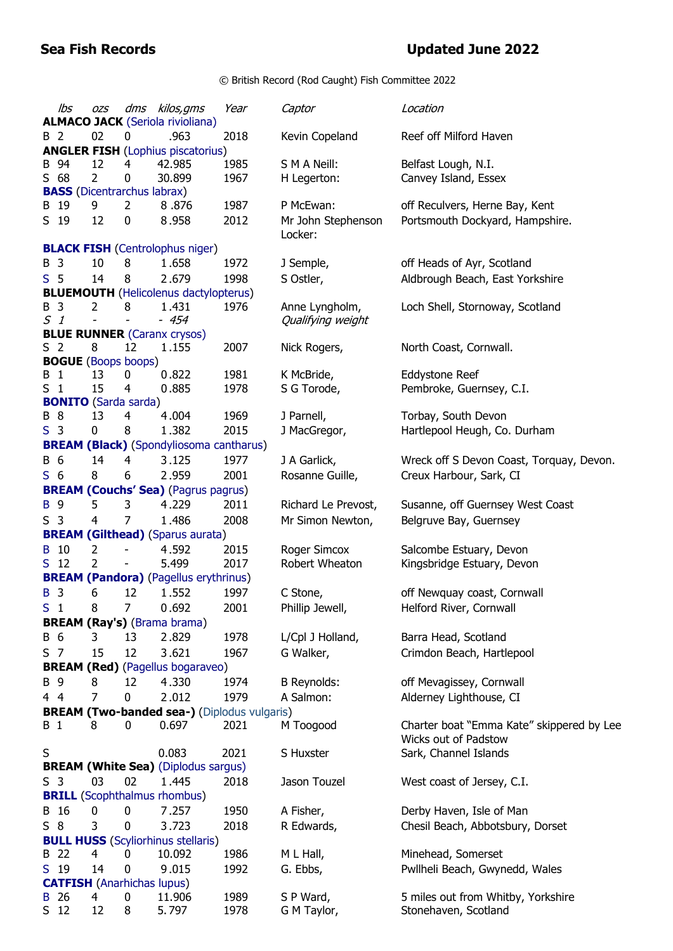## **Sea Fish Records Updated June 2022**

© British Record (Rod Caught) Fish Committee 2022

|                | lbs             | OZS            |                                    | dms kilos, gms                                     | Year | Captor              | Location                                  |
|----------------|-----------------|----------------|------------------------------------|----------------------------------------------------|------|---------------------|-------------------------------------------|
|                |                 |                |                                    | <b>ALMACO JACK (Seriola rivioliana)</b>            |      |                     |                                           |
|                | B 2             | 02             | 0                                  | .963                                               | 2018 | Kevin Copeland      | Reef off Milford Haven                    |
| B              | 94              | 12             | 4                                  | <b>ANGLER FISH (Lophius piscatorius)</b><br>42.985 | 1985 | S M A Neill:        | Belfast Lough, N.I.                       |
|                | $S$ 68          | $\overline{2}$ | 0                                  | 30.899                                             | 1967 | H Legerton:         | Canvey Island, Essex                      |
|                |                 |                | <b>BASS</b> (Dicentrarchus labrax) |                                                    |      |                     |                                           |
|                | B 19            | 9              | 2                                  | 8.876                                              | 1987 | P McEwan:           | off Reculvers, Herne Bay, Kent            |
|                | S 19            | 12             | 0                                  | 8.958                                              | 2012 | Mr John Stephenson  | Portsmouth Dockyard, Hampshire.           |
|                |                 |                |                                    |                                                    |      | Locker:             |                                           |
|                |                 |                |                                    | <b>BLACK FISH (Centrolophus niger)</b>             |      |                     |                                           |
| B              | 3               | 10             | 8                                  | 1.658                                              | 1972 | J Semple,           | off Heads of Ayr, Scotland                |
|                | S <sub>5</sub>  | 14             | 8                                  | 2.679                                              | 1998 | S Ostler,           | Aldbrough Beach, East Yorkshire           |
|                |                 |                |                                    | <b>BLUEMOUTH</b> (Helicolenus dactylopterus)       |      |                     |                                           |
|                | B 3             | 2              | 8                                  | 1.431                                              | 1976 | Anne Lyngholm,      | Loch Shell, Stornoway, Scotland           |
|                | S <sub>1</sub>  |                |                                    | $-454$                                             |      | Qualifying weight   |                                           |
|                |                 |                |                                    | <b>BLUE RUNNER</b> (Caranx crysos)                 |      |                     |                                           |
|                | S <sub>2</sub>  | 8              | 12                                 | 1.155                                              | 2007 | Nick Rogers,        | North Coast, Cornwall.                    |
|                |                 |                | <b>BOGUE</b> (Boops boops)         |                                                    |      |                     |                                           |
| В              | -1              | 13             | 0                                  | 0.822                                              | 1981 | K McBride,          | Eddystone Reef                            |
| S <sub>1</sub> |                 | 15             | 4                                  | 0.885                                              | 1978 | S G Torode,         | Pembroke, Guernsey, C.I.                  |
|                |                 |                | <b>BONITO</b> (Sarda sarda)        |                                                    |      |                     |                                           |
|                | <b>B</b> 8      | 13             | 4                                  | 4.004                                              | 1969 | J Parnell,          | Torbay, South Devon                       |
|                | S <sub>3</sub>  | 0              | 8                                  | 1.382                                              | 2015 | J MacGregor,        | Hartlepool Heugh, Co. Durham              |
|                |                 |                |                                    | <b>BREAM (Black)</b> (Spondyliosoma cantharus)     |      |                     |                                           |
| B 6            |                 | 14             | 4                                  | 3.125                                              | 1977 | J A Garlick,        | Wreck off S Devon Coast, Torquay, Devon.  |
| S <sub>6</sub> |                 | 8              | 6                                  | 2.959                                              | 2001 | Rosanne Guille,     | Creux Harbour, Sark, CI                   |
|                |                 |                |                                    | <b>BREAM (Couchs' Sea)</b> (Pagrus pagrus)         |      |                     |                                           |
| <b>B</b> 9     |                 | 5              | 3                                  | 4.229                                              | 2011 | Richard Le Prevost, | Susanne, off Guernsey West Coast          |
|                | S <sub>3</sub>  | 4              | 7                                  | 1.486                                              | 2008 | Mr Simon Newton,    | Belgruve Bay, Guernsey                    |
|                |                 |                |                                    | <b>BREAM (Gilthead)</b> (Sparus aurata)            |      |                     |                                           |
|                | B 10            | 2              |                                    | 4.592                                              | 2015 | Roger Simcox        | Salcombe Estuary, Devon                   |
|                | S <sub>12</sub> | $\overline{2}$ |                                    | 5.499                                              | 2017 | Robert Wheaton      | Kingsbridge Estuary, Devon                |
|                |                 |                |                                    | <b>BREAM (Pandora)</b> (Pagellus erythrinus)       |      |                     |                                           |
|                | B 3             | 6              | 12                                 | 1.552                                              | 1997 | C Stone,            | off Newquay coast, Cornwall               |
| S <sub>1</sub> |                 | 8              | 7                                  | 0.692                                              | 2001 | Phillip Jewell,     | Helford River, Cornwall                   |
|                |                 |                |                                    | <b>BREAM (Ray's)</b> (Brama brama)                 |      |                     |                                           |
|                | B 6             | 3              | 13                                 | 2.829                                              | 1978 | L/Cpl J Holland,    | Barra Head, Scotland                      |
|                | S <sub>7</sub>  | 15             | 12                                 | 3.621                                              | 1967 | G Walker,           | Crimdon Beach, Hartlepool                 |
|                |                 |                |                                    | <b>BREAM (Red)</b> (Pagellus bogaraveo)            |      |                     |                                           |
|                | B 9             | 8              | 12                                 | 4.330                                              | 1974 | <b>B</b> Reynolds:  | off Mevagissey, Cornwall                  |
|                | 4 4             | $\overline{7}$ | 0                                  | 2.012                                              | 1979 | A Salmon:           | Alderney Lighthouse, CI                   |
|                |                 |                |                                    | <b>BREAM (Two-banded sea-) (Diplodus vulgaris)</b> |      |                     |                                           |
| B 1            |                 | 8              | 0                                  | 0.697                                              | 2021 | M Toogood           | Charter boat "Emma Kate" skippered by Lee |
|                |                 |                |                                    |                                                    |      |                     | Wicks out of Padstow                      |
| S              |                 |                |                                    | 0.083                                              | 2021 | S Huxster           | Sark, Channel Islands                     |
|                |                 |                |                                    | <b>BREAM (White Sea)</b> (Diplodus sargus)         |      |                     |                                           |
|                | S <sub>3</sub>  | 03             | 02                                 | 1.445                                              | 2018 | Jason Touzel        | West coast of Jersey, C.I.                |
|                |                 |                |                                    | <b>BRILL</b> (Scophthalmus rhombus)                |      |                     |                                           |
|                | B 16            | 0              | 0                                  | 7.257                                              | 1950 | A Fisher,           | Derby Haven, Isle of Man                  |
|                | $S_8$           | 3              | 0                                  | 3.723                                              | 2018 | R Edwards,          | Chesil Beach, Abbotsbury, Dorset          |
|                |                 |                |                                    | <b>BULL HUSS</b> (Scyliorhinus stellaris)          |      |                     |                                           |
|                | B 22            | 4              | 0                                  | 10.092                                             | 1986 | M L Hall,           | Minehead, Somerset                        |
|                | S 19            | 14             | 0                                  | 9.015                                              | 1992 | G. Ebbs,            | Pwllheli Beach, Gwynedd, Wales            |
|                |                 |                |                                    | <b>CATFISH</b> (Anarhichas lupus)                  |      |                     |                                           |
| B              | 26              | 4              | 0                                  | 11.906                                             | 1989 | S P Ward,           | 5 miles out from Whitby, Yorkshire        |
|                | S <sub>12</sub> | 12             | 8                                  | 5.797                                              | 1978 | G M Taylor,         | Stonehaven, Scotland                      |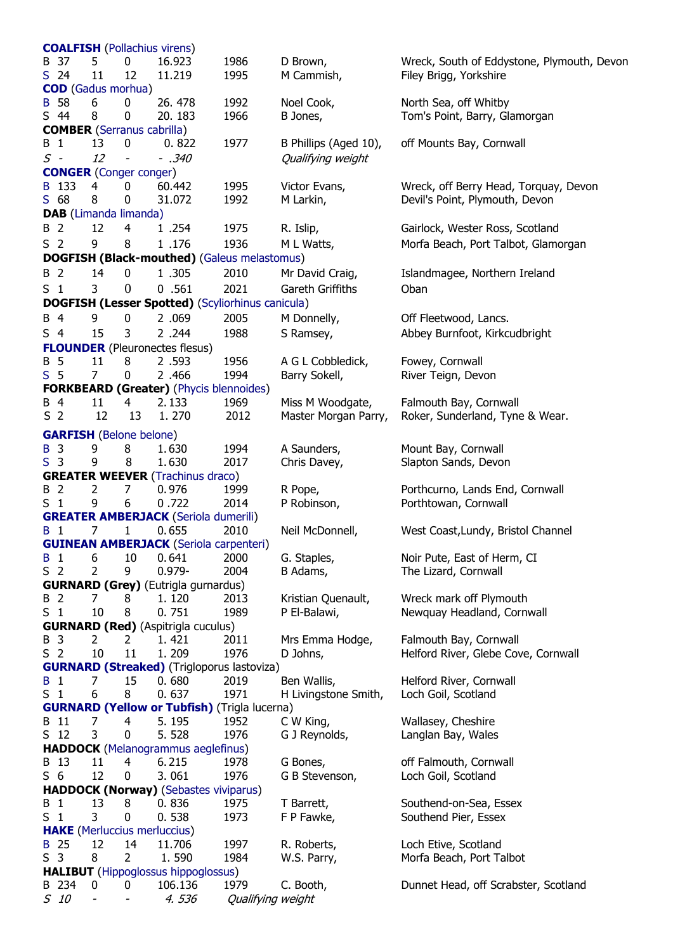|                   |                                |                  | <b>COALFISH</b> (Pollachius virens)        |                                                         |                       |                                            |
|-------------------|--------------------------------|------------------|--------------------------------------------|---------------------------------------------------------|-----------------------|--------------------------------------------|
| B 37              | 5                              | 0                | 16.923                                     | 1986                                                    | D Brown,              | Wreck, South of Eddystone, Plymouth, Devon |
| $S$ 24            | 11                             | 12               | 11.219                                     | 1995                                                    | M Cammish,            | Filey Brigg, Yorkshire                     |
|                   | <b>COD</b> (Gadus morhua)      |                  |                                            |                                                         |                       |                                            |
| <b>B</b> 58       | 6                              | 0                | 26.478                                     | 1992                                                    | Noel Cook,            | North Sea, off Whitby                      |
| S 44              | 8                              | 0                | 20.183                                     | 1966                                                    | B Jones,              | Tom's Point, Barry, Glamorgan              |
|                   |                                |                  | <b>COMBER</b> (Serranus cabrilla)          |                                                         |                       |                                            |
| B 1               | 13                             | 0                | 0.822                                      | 1977                                                    | B Phillips (Aged 10), | off Mounts Bay, Cornwall                   |
| $S$ -             | 12                             |                  | $-.340$                                    |                                                         | Qualifying weight     |                                            |
|                   | <b>CONGER</b> (Conger conger)  |                  |                                            |                                                         |                       |                                            |
| B 133             | 4                              | 0                | 60.442                                     | 1995                                                    | Victor Evans,         | Wreck, off Berry Head, Torquay, Devon      |
| $S$ 68            | 8                              | 0                | 31.072                                     | 1992                                                    | M Larkin,             | Devil's Point, Plymouth, Devon             |
|                   | DAB (Limanda limanda)          |                  |                                            |                                                         |                       |                                            |
| B 2               | 12                             | 4                | 1.254                                      | 1975                                                    | R. Islip,             | Gairlock, Wester Ross, Scotland            |
| S <sub>2</sub>    | 9                              | 8                | 1.176                                      | 1936                                                    | M L Watts,            | Morfa Beach, Port Talbot, Glamorgan        |
|                   |                                |                  |                                            | <b>DOGFISH (Black-mouthed)</b> (Galeus melastomus)      |                       |                                            |
| <b>B</b> 2        | 14                             | 0                | 1.305                                      | 2010                                                    | Mr David Craig,       | Islandmagee, Northern Ireland              |
|                   | 3                              | $\boldsymbol{0}$ |                                            |                                                         |                       |                                            |
| S <sub>1</sub>    |                                |                  | 0.561                                      | 2021                                                    | Gareth Griffiths      | Oban                                       |
|                   |                                |                  |                                            | <b>DOGFISH (Lesser Spotted)</b> (Scyliorhinus canicula) |                       |                                            |
| B 4               | 9                              | 0                | 2.069                                      | 2005                                                    | M Donnelly,           | Off Fleetwood, Lancs.                      |
| S <sub>4</sub>    | 15                             | 3                | 2.244                                      | 1988                                                    | S Ramsey,             | Abbey Burnfoot, Kirkcudbright              |
|                   |                                |                  | <b>FLOUNDER</b> (Pleuronectes flesus)      |                                                         |                       |                                            |
| <b>B</b> 5        | 11                             | 8                | 2.593                                      | 1956                                                    | A G L Cobbledick,     | Fowey, Cornwall                            |
| S <sub>5</sub>    | $\overline{7}$                 | 0                | 2.466                                      | 1994                                                    | Barry Sokell,         | River Teign, Devon                         |
|                   |                                |                  |                                            | <b>FORKBEARD (Greater)</b> (Phycis blennoides)          |                       |                                            |
| B 4               | 11                             | 4                | 2.133                                      | 1969                                                    | Miss M Woodgate,      | Falmouth Bay, Cornwall                     |
| S <sub>2</sub>    | 12                             | 13               | 1.270                                      | 2012                                                    | Master Morgan Parry,  | Roker, Sunderland, Tyne & Wear.            |
|                   | <b>GARFISH</b> (Belone belone) |                  |                                            |                                                         |                       |                                            |
| <b>B</b> 3        | 9                              | 8                | 1.630                                      | 1994                                                    | A Saunders,           | Mount Bay, Cornwall                        |
| S <sub>3</sub>    | 9                              | 8                | 1.630                                      | 2017                                                    | Chris Davey,          | Slapton Sands, Devon                       |
|                   |                                |                  | <b>GREATER WEEVER (Trachinus draco)</b>    |                                                         |                       |                                            |
| B 2               | 2                              | 7                | 0.976                                      | 1999                                                    | R Pope,               | Porthcurno, Lands End, Cornwall            |
| S <sub>1</sub>    | 9                              | 6                | 0.722                                      | 2014                                                    | P Robinson,           | Porthtowan, Cornwall                       |
|                   |                                |                  |                                            | <b>GREATER AMBERJACK</b> (Seriola dumerili)             |                       |                                            |
| B 1               | 7                              | 1                | 0.655                                      | 2010                                                    | Neil McDonnell,       | West Coast, Lundy, Bristol Channel         |
|                   |                                |                  |                                            | <b>GUINEAN AMBERJACK</b> (Seriola carpenteri)           |                       |                                            |
| $\mathbf{1}$<br>B | 6                              | 10               | 0.641                                      | 2000                                                    | G. Staples,           | Noir Pute, East of Herm, CI                |
| S <sub>2</sub>    | $\overline{2}$                 | 9                | $0.979 -$                                  | 2004                                                    | B Adams,              | The Lizard, Cornwall                       |
|                   |                                |                  | <b>GURNARD (Grey)</b> (Eutrigla gurnardus) |                                                         |                       |                                            |
| B 2               | 7                              | 8                | 1.120                                      | 2013                                                    | Kristian Quenault,    | Wreck mark off Plymouth                    |
| $S_1$             | 10                             | 8                | 0.751                                      | 1989                                                    | P El-Balawi,          | Newquay Headland, Cornwall                 |
|                   |                                |                  | <b>GURNARD (Red)</b> (Aspitrigla cuculus)  |                                                         |                       |                                            |
| B 3               | 2                              | 2                | 1.421                                      | 2011                                                    | Mrs Emma Hodge,       | Falmouth Bay, Cornwall                     |
| S <sub>2</sub>    | 10                             | 11               | 1.209                                      | 1976                                                    | D Johns,              | Helford River, Glebe Cove, Cornwall        |
|                   |                                |                  |                                            | <b>GURNARD (Streaked)</b> (Trigloporus lastoviza)       |                       |                                            |
| <b>B</b> 1        | 7                              | 15               | 0.680                                      | 2019                                                    | Ben Wallis,           | Helford River, Cornwall                    |
| S <sub>1</sub>    | 6                              | 8                | 0.637                                      | 1971                                                    | H Livingstone Smith,  | Loch Goil, Scotland                        |
|                   |                                |                  |                                            | <b>GURNARD (Yellow or Tubfish)</b> (Trigla lucerna)     |                       |                                            |
| B 11              | 7                              | $\overline{4}$   | 5.195                                      | 1952                                                    | C W King,             | Wallasey, Cheshire                         |
| S <sub>12</sub>   | 3                              | 0                | 5.528                                      | 1976                                                    | G J Reynolds,         | Langlan Bay, Wales                         |
|                   |                                |                  |                                            | <b>HADDOCK</b> (Melanogrammus aeglefinus)               |                       |                                            |
| B 13              | 11                             | 4                | 6.215                                      | 1978                                                    | G Bones,              | off Falmouth, Cornwall                     |
| S <sub>6</sub>    | 12                             | 0                | 3.061                                      | 1976                                                    | G B Stevenson,        | Loch Goil, Scotland                        |
|                   |                                |                  |                                            | <b>HADDOCK (Norway)</b> (Sebastes viviparus)            |                       |                                            |
| B 1               | 13                             | 8                | 0.836                                      | 1975                                                    | T Barrett,            | Southend-on-Sea, Essex                     |
| S <sub>1</sub>    | 3                              | 0                | 0.538                                      | 1973                                                    | F P Fawke,            | Southend Pier, Essex                       |
|                   |                                |                  | <b>HAKE</b> (Merluccius merluccius)        |                                                         |                       |                                            |
| B 25              | 12                             | 14               | 11.706                                     | 1997                                                    | R. Roberts,           | Loch Etive, Scotland                       |
| S <sub>3</sub>    | 8                              | $\overline{2}$   | 1.590                                      | 1984                                                    | W.S. Parry,           | Morfa Beach, Port Talbot                   |
|                   |                                |                  | <b>HALIBUT</b> (Hippoglossus hippoglossus) |                                                         |                       |                                            |
| B 234             | 0                              | 0                | 106.136                                    | 1979                                                    | C. Booth,             | Dunnet Head, off Scrabster, Scotland       |
| S 10              |                                |                  | 4. 536                                     | Qualifying weight                                       |                       |                                            |
|                   |                                |                  |                                            |                                                         |                       |                                            |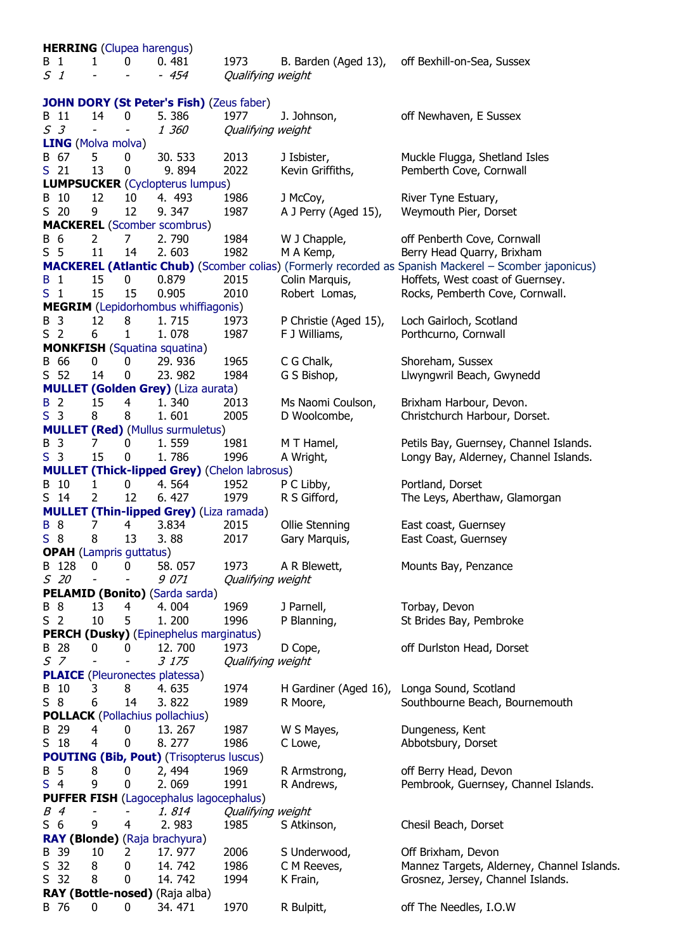|                | <b>HERRING</b> (Clupea harengus)                |                                |                              |                                                     |                           |                       |                                                                                                              |  |  |
|----------------|-------------------------------------------------|--------------------------------|------------------------------|-----------------------------------------------------|---------------------------|-----------------------|--------------------------------------------------------------------------------------------------------------|--|--|
| B<br>51        | $\mathbf{1}$                                    | 1                              | 0                            | 0.481<br>- 454                                      | 1973<br>Qualifying weight | B. Barden (Aged 13),  | off Bexhill-on-Sea, Sussex                                                                                   |  |  |
|                | <b>JOHN DORY (St Peter's Fish)</b> (Zeus faber) |                                |                              |                                                     |                           |                       |                                                                                                              |  |  |
|                | B 11                                            | 14                             | 0                            | 5.386                                               | 1977                      | J. Johnson,           | off Newhaven, E Sussex                                                                                       |  |  |
|                | S <sub>3</sub>                                  |                                |                              | 1 360                                               | Qualifying weight         |                       |                                                                                                              |  |  |
|                |                                                 | <b>LING</b> (Molva molva)      |                              |                                                     |                           |                       |                                                                                                              |  |  |
|                | B 67                                            | 5                              | 0                            | 30.533                                              | 2013                      | J Isbister,           | Muckle Flugga, Shetland Isles                                                                                |  |  |
|                | S <sub>21</sub>                                 | 13                             | 0                            | 9.894                                               | 2022                      | Kevin Griffiths,      | Pemberth Cove, Cornwall                                                                                      |  |  |
|                |                                                 |                                |                              | <b>LUMPSUCKER</b> (Cyclopterus lumpus)              |                           |                       |                                                                                                              |  |  |
|                | B 10                                            | 12                             | 10                           | 4. 493                                              | 1986                      | J McCoy,              | River Tyne Estuary,                                                                                          |  |  |
|                | $S$ 20                                          | 9                              | 12                           | 9.347                                               | 1987                      | A J Perry (Aged 15),  | Weymouth Pier, Dorset                                                                                        |  |  |
|                |                                                 |                                |                              | <b>MACKEREL</b> (Scomber scombrus)                  |                           |                       |                                                                                                              |  |  |
| B 6            |                                                 | 2                              | 7                            | 2.790                                               | 1984                      | W J Chapple,          | off Penberth Cove, Cornwall                                                                                  |  |  |
| S <sub>5</sub> |                                                 | 11                             | 14                           | 2.603                                               | 1982                      | M A Kemp,             | Berry Head Quarry, Brixham                                                                                   |  |  |
|                |                                                 |                                |                              |                                                     |                           |                       | <b>MACKEREL (Atlantic Chub)</b> (Scomber colias) (Formerly recorded as Spanish Mackerel - Scomber japonicus) |  |  |
| <b>B</b> 1     |                                                 | 15                             | 0                            | 0.879                                               |                           |                       |                                                                                                              |  |  |
| S <sub>1</sub> |                                                 | 15                             | 15                           |                                                     | 2015                      | Colin Marquis,        | Hoffets, West coast of Guernsey.                                                                             |  |  |
|                |                                                 |                                |                              | 0.905                                               | 2010                      | Robert Lomas,         | Rocks, Pemberth Cove, Cornwall.                                                                              |  |  |
|                |                                                 |                                |                              | <b>MEGRIM</b> (Lepidorhombus whiffiagonis)          |                           |                       |                                                                                                              |  |  |
| B 3            |                                                 | 12                             | 8                            | 1.715                                               | 1973                      | P Christie (Aged 15), | Loch Gairloch, Scotland                                                                                      |  |  |
| S <sub>2</sub> |                                                 | 6                              | 1                            | 1.078                                               | 1987                      | F J Williams,         | Porthcurno, Cornwall                                                                                         |  |  |
|                |                                                 |                                |                              | <b>MONKFISH</b> (Squatina squatina)                 |                           |                       |                                                                                                              |  |  |
|                | B 66                                            | 0                              | 0                            | 29.936                                              | 1965                      | C G Chalk,            | Shoreham, Sussex                                                                                             |  |  |
|                | S <sub>52</sub>                                 | 14                             | 0                            | 23.982                                              | 1984                      | G S Bishop,           | Llwyngwril Beach, Gwynedd                                                                                    |  |  |
|                |                                                 |                                |                              | <b>MULLET (Golden Grey)</b> (Liza aurata)           |                           |                       |                                                                                                              |  |  |
| <b>B</b> 2     |                                                 | 15                             | 4                            | 1.340                                               | 2013                      | Ms Naomi Coulson,     | Brixham Harbour, Devon.                                                                                      |  |  |
| S <sub>3</sub> |                                                 | 8                              | 8                            | 1.601                                               | 2005                      | D Woolcombe,          | Christchurch Harbour, Dorset.                                                                                |  |  |
|                |                                                 |                                |                              | <b>MULLET (Red)</b> (Mullus surmuletus)             |                           |                       |                                                                                                              |  |  |
| B 3            |                                                 | 7                              | 0                            | 1.559                                               | 1981                      | M T Hamel,            | Petils Bay, Guernsey, Channel Islands.                                                                       |  |  |
| S <sub>3</sub> |                                                 | 15                             | 0                            | 1.786                                               | 1996                      | A Wright,             | Longy Bay, Alderney, Channel Islands.                                                                        |  |  |
|                |                                                 |                                |                              | <b>MULLET (Thick-lipped Grey)</b> (Chelon labrosus) |                           |                       |                                                                                                              |  |  |
|                | B 10                                            | 1                              | 0                            | 4.564                                               | 1952                      | P C Libby,            | Portland, Dorset                                                                                             |  |  |
|                | S <sub>14</sub>                                 | 2                              | 12                           | 6.427                                               | 1979                      | R S Gifford,          | The Leys, Aberthaw, Glamorgan                                                                                |  |  |
|                |                                                 |                                |                              | <b>MULLET (Thin-lipped Grey) (Liza ramada)</b>      |                           |                       |                                                                                                              |  |  |
| <b>B</b> 8     |                                                 | 7                              | 4                            | 3.834                                               | 2015                      | Ollie Stenning        | East coast, Guernsey                                                                                         |  |  |
| $S_8$          |                                                 | 8                              | 13                           | 3.88                                                | 2017                      | Gary Marquis,         | East Coast, Guernsey                                                                                         |  |  |
|                |                                                 | <b>OPAH</b> (Lampris guttatus) |                              |                                                     |                           |                       |                                                                                                              |  |  |
|                | B 128                                           | 0                              | 0                            | 58.057                                              | 1973                      | A R Blewett,          | Mounts Bay, Penzance                                                                                         |  |  |
|                | $S$ 20                                          | $\overline{\phantom{a}}$       | $\overline{\phantom{a}}$     | 9 071                                               | Qualifying weight         |                       |                                                                                                              |  |  |
|                |                                                 |                                |                              | PELAMID (Bonito) (Sarda sarda)                      |                           |                       |                                                                                                              |  |  |
| <b>B</b> 8     |                                                 | 13                             | 4                            | 4.004                                               | 1969                      | J Parnell,            | Torbay, Devon                                                                                                |  |  |
| S <sub>2</sub> |                                                 | 10                             | 5                            | 1.200                                               | 1996                      | P Blanning,           | St Brides Bay, Pembroke                                                                                      |  |  |
|                |                                                 |                                |                              | <b>PERCH (Dusky)</b> (Epinephelus marginatus)       |                           |                       |                                                                                                              |  |  |
|                | B 28                                            | 0                              | 0                            | 12.700                                              | 1973                      | D Cope,               | off Durlston Head, Dorset                                                                                    |  |  |
|                | $S$ 7                                           | $\overline{\phantom{0}}$       | $\overline{\phantom{0}}$     | 3 175                                               | Qualifying weight         |                       |                                                                                                              |  |  |
|                |                                                 |                                |                              | <b>PLAICE</b> (Pleuronectes platessa)               |                           |                       |                                                                                                              |  |  |
|                | B 10                                            | 3                              | 8                            | 4.635                                               | 1974                      | H Gardiner (Aged 16), | Longa Sound, Scotland                                                                                        |  |  |
| $S_8$          |                                                 | 6                              | 14                           | 3.822                                               | 1989                      | R Moore,              | Southbourne Beach, Bournemouth                                                                               |  |  |
|                |                                                 |                                |                              |                                                     |                           |                       |                                                                                                              |  |  |
|                |                                                 |                                |                              | <b>POLLACK</b> (Pollachius pollachius)              |                           |                       |                                                                                                              |  |  |
|                | B 29                                            | 4                              | 0                            | 13.267                                              | 1987                      | W S Mayes,            | Dungeness, Kent                                                                                              |  |  |
|                | S <sub>18</sub>                                 | $\overline{4}$                 | 0                            | 8.277                                               | 1986                      | C Lowe,               | Abbotsbury, Dorset                                                                                           |  |  |
|                |                                                 |                                |                              | <b>POUTING (Bib, Pout) (Trisopterus luscus)</b>     |                           |                       |                                                                                                              |  |  |
| <b>B</b> 5     |                                                 | 8                              | 0                            | 2, 494                                              | 1969                      | R Armstrong,          | off Berry Head, Devon                                                                                        |  |  |
| S <sub>4</sub> |                                                 | 9                              | 0                            | 2.069                                               | 1991                      | R Andrews,            | Pembrook, Guernsey, Channel Islands.                                                                         |  |  |
|                |                                                 |                                |                              | <b>PUFFER FISH (Lagocephalus lagocephalus)</b>      |                           |                       |                                                                                                              |  |  |
| B 4            |                                                 | $\overline{\phantom{0}}$       | $\qquad \qquad \blacksquare$ | 1.814                                               | Qualifying weight         |                       |                                                                                                              |  |  |
| S <sub>6</sub> |                                                 | 9                              | 4                            | 2.983                                               | 1985                      | S Atkinson,           | Chesil Beach, Dorset                                                                                         |  |  |
|                |                                                 |                                |                              | RAY (Blonde) (Raja brachyura)                       |                           |                       |                                                                                                              |  |  |
|                | B 39                                            | 10                             | 2                            | 17.977                                              | 2006                      | S Underwood,          | Off Brixham, Devon                                                                                           |  |  |
|                | S 32                                            | 8                              | 0                            | 14.742                                              | 1986                      | C M Reeves,           | Mannez Targets, Alderney, Channel Islands.                                                                   |  |  |
|                | S 32                                            | 8                              | 0                            | 14.742                                              | 1994                      | K Frain,              | Grosnez, Jersey, Channel Islands.                                                                            |  |  |
|                |                                                 |                                |                              | RAY (Bottle-nosed) (Raja alba)                      |                           |                       |                                                                                                              |  |  |
|                | B 76                                            | $\bf{0}$                       | 0                            | 34.471                                              | 1970                      | R Bulpitt,            | off The Needles, I.O.W                                                                                       |  |  |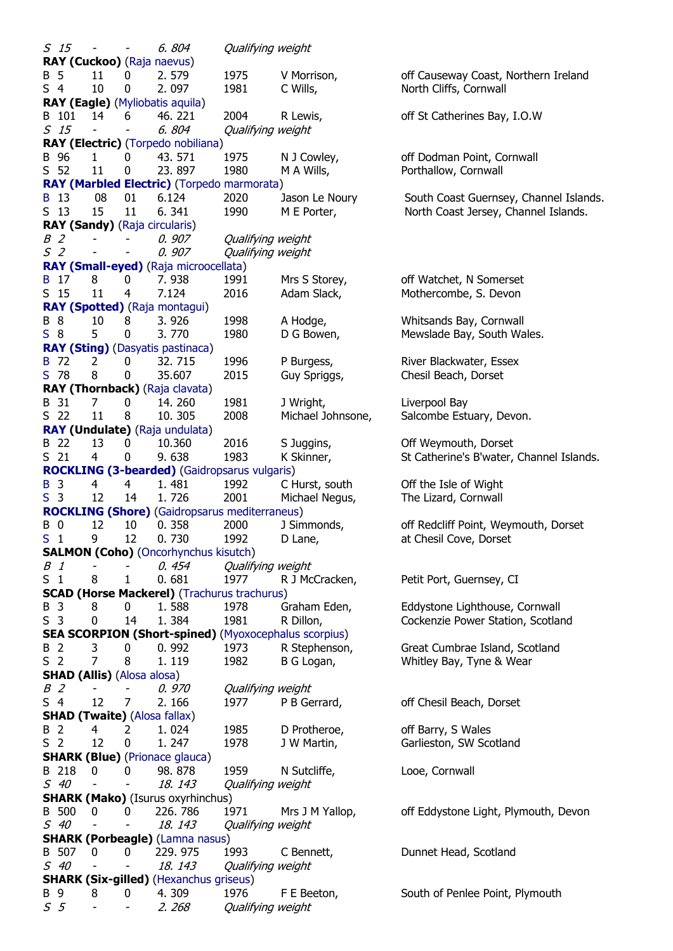S 15 - - 6. 804 Qualifying weight **RAY (Cuckoo)** [\(Raja naevus\)](http://www.fishbase.org/?genusname=Leucoraja&speciesname=naevus) B 5 11 0 2.579 1975 V Morrison, off Causeway Coast, Northern Ireland S 4 10 0 2.097 1981 C Wills, North Cliffs, Cornwall **RAY (Eagle)** [\(Myliobatis aquila\)](http://www.fishbase.org/?genusname=Myliobatis&speciesname=aquila) B 101 14 6 46.221 2004 R Lewis, off St Catherines Bay, I.O.W S 15 - - 6. 804 Qualifying weight **RAY (Electric)** [\(Torpedo nobiliana\)](http://www.fishbase.org/?genusname=Torpedo&speciesname=nobiliana)<br>B 96 1 0 43.571 B 96 1 0 43.571 1975 N J Cowley, off Dodman Point, Cornwall S 52 11 0 23. 897 1980 M A Wills, Porthallow, Cornwall **[RAY \(Marbled Electric\)](http://www.nfsa.org.uk/www.nfsa.org.uk/ntcg/brfc/pictures/marbled_electric_ray_b_record.jpg)** [\(Torpedo marmorata\)](http://www.fishbase.org/?genusname=Torpedo&speciesname=marmorata) [B](http://www.nfsa.org.uk/www.nfsa.org.uk/ntcg/brfc/pictures/marbled_electric_ray_b_record.jpg) 13 08 01 6.124 2020 Jason Le Noury South Coast Guernsey, Channel Islands. S 13 15 11 6.341 1990 M E Porter, North Coast Jersey, Channel Islands. **RAY (Sandy)** [\(Raja circularis\)](http://www.fishbase.org/?genusname=Leucoraja&speciesname=circularis) B 2 - - 0. 907 Qualifying weight S 2 - - 0.907 Qualifying weight **[RAY \(Small-eyed\)](http://www.nfsa.org.uk/www.nfsa.org.uk/ntcg/brfc/pictures/small_eyed_ray_b_record.jpg)** [\(Raja microocellata\)](http://www.fishbase.org/?genusname=Raja&speciesname=microocellata) [B](http://www.nfsa.org.uk/www.nfsa.org.uk/ntcg/brfc/pictures/small_eyed_ray_b_record.jpg) 17 8 0 7.938 1991 Mrs S Storey, off Watchet, N Somerset S 15 11 4 7.124 2016 Adam Slack, Mothercombe, S. Devon **[RAY \(Spotted\)](http://www.nfsa.org.uk/www.nfsa.org.uk/ntcg/brfc/pictures/spotted_ray_s_record.jpg)** [\(Raja montagui\)](http://www.fishbase.org/?genusname=Raja&speciesname=montagui) B 8 10 8 3. 926 1998 A Hodge, Whitsands Bay, Cornwall [S](http://www.nfsa.org.uk/www.nfsa.org.uk/ntcg/brfc/pictures/spotted_ray_s_record.jpg) 8 5 0 3.770 1980 D G Bowen, Mewslade Bay, South Wales. **[RAY \(Sting\)](http://www.nfsa.org.uk/www.nfsa.org.uk/ntcg/brfc/pictures/sting%20ray_b_record.jpg)** [\(Dasyatis pastinaca\)](http://www.fishbase.org/?genusname=Dasyatis&speciesname=pastinaca) [B](http://www.nfsa.org.uk/www.nfsa.org.uk/ntcg/brfc/pictures/sting%20ray_b_record.jpg) 72 2 0 32. 715 1996 P Burgess, River Blackwater, Essex [S](http://www.nfsa.org.uk/www.nfsa.org.uk/ntcg/brfc/pictures/sting_ray_s_record.jpg) 78 8 0 35.607 2015 Guy Spriggs, Chesil Beach, Dorset **RAY (Thornback)** [\(Raja clavata\)](http://www.fishbase.org/?genusname=Raja&speciesname=clavata) B 31 7 0 14. 260 1981 J Wright, Liverpool Bay S 22 11 8 10. 305 2008 Michael Johnsone, Salcombe Estuary, Devon. **[RAY](http://www.nfsa.org.uk/www.nfsa.org.uk/ntcg/brfc/pictures/undulate_ray.jpg) (Undulate)** [\(Raja undulata\)](http://www.fishbase.org/?genusname=Raja&speciesname=undulata) B 22 13 0 10.360 2016 S Juggins, Off Weymouth, Dorset S 21 4 0 9.638 1983 K Skinner, St Catherine's B'water, Channel Islands. **[ROCKLING \(3-bearded\)](http://www.nfsa.org.uk/www.nfsa.org.uk/ntcg/brfc/pictures/three_bearded_rockling_b_record.jpg)** [\(Gaidropsarus vulgaris\)](http://www.fishbase.org/?genusname=Gaidropsarus&speciesname=vulgaris) [B](http://www.nfsa.org.uk/www.nfsa.org.uk/ntcg/brfc/pictures/three_bearded_rockling_b_record.jpg) 3 4 4 1. 481 1992 C Hurst, south Off the Isle of Wight [S](http://www.nfsa.org.uk/www.nfsa.org.uk/ntcg/brfc/pictures/three_breaded_rockling_s_record.jpg) 3 12 14 1.726 2001 Michael Negus, The Lizard, Cornwall **[ROCKLING \(Shore\)](http://www.nfsa.org.uk/www.nfsa.org.uk/ntcg/brfc/pictures/shore_rockling_s_record.jpg)** [\(Gaidropsarus mediterraneus\)](http://www.fishbase.org/?genusname=Gaidropsarus&speciesname=mediterraneus) B 0 12 10 0.358 2000 J Simmonds, off Redcliff Point, Weymouth, Dorset [S](http://www.nfsa.org.uk/www.nfsa.org.uk/ntcg/brfc/pictures/shore_rockling_s_record.jpg) 1 9 12 0. 730 1992 D Lane, at Chesil Cove, Dorset **SALMON (Coho)** [\(Oncorhynchus kisutch\)](http://www.fishbase.org/?genusname=Oncorhynchus&speciesname=kisutch) B 1 - - 0.454 Oualifying weight S 1 8 1 0.681 1977 R J McCracken, Petit Port, Guernsey, CI **SCAD (Horse Mackerel)** [\(Trachurus trachurus\)](http://www.fishbase.org/?genusname=Trachurus&speciesname=trachurus) B 3 8 0 1.588 1978 Graham Eden, Eddystone Lighthouse, Cornwall S 3 0 14 1.384 1981 R Dillon, Cockenzie Power Station, Scotland **SEA SCORPION (Short-spined)** [\(Myoxocephalus scorpius\)](http://www.fishbase.org/?genusname=Myoxocephalus&speciesname=scorpius) B 2 3 0 0.992 1973 R Stephenson, Great Cumbrae Island, Scotland S 2 7 8 1. 119 1982 B G Logan, Whitley Bay, Tyne & Wear **SHAD (Allis)** [\(Alosa alosa\)](http://www.fishbase.org/?genusname=Alosa&speciesname=alosa) B 2 - - 0. 970 Qualifying weight S 4 12 7 2.166 1977 P B Gerrard, off Chesil Beach, Dorset **SHAD (Twaite)** [\(Alosa fallax\)](http://www.fishbase.org/?genusname=Alosa&speciesname=fallax) B 2 4 2 1.024 1985 D Protheroe, off Barry, S Wales S 2 12 0 1.247 1978 J W Martin, Garlieston, SW Scotland **SHARK (Blue)** [\(Prionace glauca\)](http://www.fishbase.org/?genusname=Prionace&speciesname=glauca) B 218 0 0 98. 878 1959 N Sutcliffe, Looe, Cornwall S 40 - - 18. 143 Qualifying weight **SHARK (Mako)** (Isurus oxyrhinchus) B 500 0 0 226. 786 1971 Mrs J M Yallop, off Eddystone Light, Plymouth, Devon S 40 - - 18. 143 Qualifying weight **SHARK (Porbeagle)** [\(Lamna nasus\)](http://www.fishbase.org/?genusname=Lamna&speciesname=nasus) B 507 0 0 229. 975 1993 C Bennett, Dunnet Head, Scotland S 40 - - 18. 143 Qualifying weight **SHARK (Six-gilled)** [\(Hexanchus griseus\)](http://www.fishbase.org/?genusname=Hexanchus&speciesname=griseus) B 9 8 0 4.309 1976 F E Beeton, South of Penlee Point, Plymouth S 5 - - 2. 268 Qualifying weight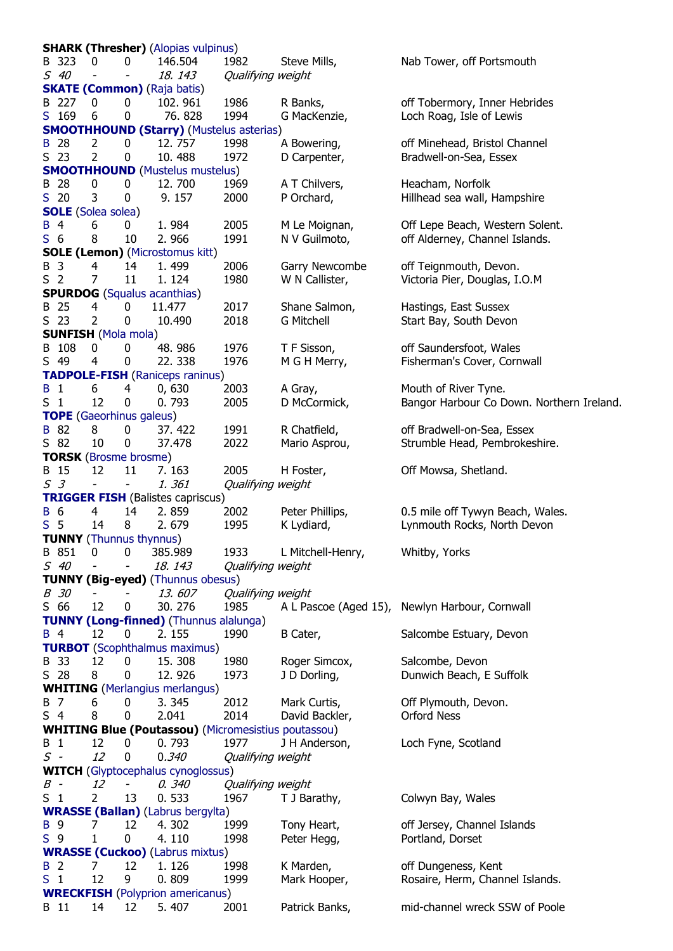**SHARK (Thresher)** [\(Alopias vulpinus\)](http://www.fishbase.org/?genusname=Alopias&speciesname=pelagicus) B 323 0 0 146.504 1982 Steve Mills, Nab Tower, off Portsmouth S 40 - - 18. 143 Qualifying weight **[SKATE \(Common\)](http://www.nfsa.org.uk/www.nfsa.org.uk/ntcg/brfc/pictures/common_skate_s_record.jpg)** [\(Raja batis\)](http://www.fishbase.org/?genusname=Dipturus&speciesname=batis) B 227 0 0 102. 961 1986 R Banks, off Tobermory, Inner Hebrides [S](http://www.nfsa.org.uk/www.nfsa.org.uk/ntcg/brfc/pictures/common_skate_s_record.jpg) 169 6 0 76.828 1994 G MacKenzie, Loch Roag, Isle of Lewis **[SMOOTHHOUND \(Starry\)](http://www.nfsa.org.uk/www.nfsa.org.uk/ntcg/brfc/pictures/starry_smouthhound_b_record.jpg)** [\(Mustelus asterias\)](http://www.fishbase.org/?genusname=Mustelus&speciesname=asterias) [B](http://www.nfsa.org.uk/www.nfsa.org.uk/ntcg/brfc/pictures/starry_smouthhound_b_record.jpg) 28 2 0 12. 757 1998 A Bowering, off Minehead, Bristol Channel S 23 2 0 10. 488 1972 D Carpenter, Bradwell-on-Sea, Essex **[SMOOTHHOUND](http://www.nfsa.org.uk/www.nfsa.org.uk/ntcg/brfc/pictures/common_smoothhound_s_record.jpg)** [\(Mustelus mustelus\)](http://www.fishbase.org/?genusname=Mustelus&speciesname=mustelus) B 28 0 0 12, 700 1969 A T Chilvers, Heacham, Norfolk [S](http://www.nfsa.org.uk/www.nfsa.org.uk/ntcg/brfc/pictures/common_smoothhound_s_record.jpg) 20 3 0 9.157 2000 P Orchard, Hillhead sea wall, Hampshire **[SOLE](http://www.nfsa.org.uk/www.nfsa.org.uk/ntcg/brfc/pictures/sole_b_record.jpg)** [\(Solea solea\)](http://www.fishbase.org/?genusname=Solea&speciesname=solea) [B](http://www.nfsa.org.uk/www.nfsa.org.uk/ntcg/brfc/pictures/sole_b_record.jpg) 4 6 0 1. 984 2005 M Le Moignan, Off Lepe Beach, Western Solent. [S](http://www.nfsa.org.uk/www.nfsa.org.uk/ntcg/brfc/pictures/sole_s_record.jpg) 6 8 10 2.966 1991 N V Guilmoto, off Alderney, Channel Islands. **SOLE (Lemon)** [\(Microstomus kitt\)](http://www.fishbase.org/?genusname=Microstomus&speciesname=kitt) B 3 4 14 1. 499 2006 Garry Newcombe off Teignmouth, Devon. S 2 7 11 1.124 1980 W N Callister, Victoria Pier, Douglas, I.O.M **SPURDOG** [\(Squalus acanthias\)](http://www.fishbase.org/?genusname=Squalus&speciesname=acanthias) B 25 4 0 11.477 2017 Shane Salmon, Hastings, East Sussex S 23 2 0 10.490 2018 G Mitchell Start Bay, South Devon **SUNFISH** [\(Mola mola\)](http://www.fishbase.org/?genusname=Mola&speciesname=mola) B 108 0 0 48.986 1976 T F Sisson, off Saundersfoot, Wales S 49 4 0 22.338 1976 M G H Merry, Fisherman's Cover, Cornwall **[TADPOLE-FISH](http://www.nfsa.org.uk/www.nfsa.org.uk/ntcg/brfc/pictures/tadpole_fish_b_record.jpg)** [\(Raniceps raninus\)](http://www.fishbase.org/?genusname=Raniceps&speciesname=raninus) [B](http://www.nfsa.org.uk/www.nfsa.org.uk/ntcg/brfc/pictures/tadpole_fish_b_record.jpg) 1 6 4 0, 630 2003 A Gray, Mouth of River Tyne. S 1 12 0 0.793 2005 D McCormick, Bangor Harbour Co Down. Northern Ireland. **[TOPE](http://www.nfsa.org.uk/www.nfsa.org.uk/ntcg/brfc/pictures/tope_b_record.jpg)** [\(Gaeorhinus galeus\)](http://www.fishbase.org/?genusname=Galeorhinus&speciesname=galeus) [B](http://www.nfsa.org.uk/www.nfsa.org.uk/ntcg/brfc/pictures/tope_b_record.jpg) 82 8 0 37.422 1991 R Chatfield, off Bradwell-on-Sea, Essex S 82 10 0 37.478 2022 Mario Asprou, Strumble Head, Pembrokeshire. **TORSK** [\(Brosme brosme\)](http://www.fishbase.org/?genusname=Brosme&speciesname=brosme) B 15 12 11 7. 163 2005 H Foster, Off Mowsa, Shetland. S 3 - - 1. 361 Qualifying weight **[TRIGGER FISH](http://www.nfsa.org.uk/www.nfsa.org.uk/ntcg/brfc/pictures/trigger_fish_b_record.jpg)** (Balistes capriscus)<br>B 6 4 14 2.859 [B](http://www.nfsa.org.uk/www.nfsa.org.uk/ntcg/brfc/pictures/trigger_fish_b_record.jpg) 6 4 14 2.859 2002 Peter Phillips, 0.5 mile off Tywyn Beach, Wales. [S](http://www.nfsa.org.uk/www.nfsa.org.uk/ntcg/brfc/pictures/trigger_fish_s_record.jpg) 5 14 8 2.679 1995 K Lydiard, Lynmouth Rocks, North Devon **TUNNY** [\(Thunnus thynnus\)](http://www.fishbase.org/?genusname=Thunnus&speciesname=thynnus) B 851 0 0 385.989 1933 L Mitchell-Henry, Whitby, Yorks S 40 - - 18. 143 Qualifying weight **TUNNY (Big-eyed)** [\(Thunnus](http://www.fishbase.org/?genusname=Thunnus&speciesname=obesus) obesus) B 30 - - 13. 607 Qualifying weight S 66 12 0 30. 276 1985 A L Pascoe (Aged 15), Newlyn Harbour, Cornwall **[TUNNY \(Long-finned\)](http://www.nfsa.org.uk/www.nfsa.org.uk/ntcg/brfc/pictures/longfinned_tunny_b_record.jpg)** [\(Thunnus alalunga\)](http://www.fishbase.org/?genusname=Thunnus&speciesname=alalunga) [B](http://www.nfsa.org.uk/www.nfsa.org.uk/ntcg/brfc/pictures/longfinned_tunny_b_record.jpg) 4 12 0 2.155 1990 B Cater, Salcombe Estuary, Devon **[TURBOT](http://www.nfsa.org.uk/www.nfsa.org.uk/ntcg/brfc/pictures/turbot.jpg)** [\(Scophthalmus maximus\)](http://www.fishbase.org/?genusname=Scophthalmus&speciesname=maximus) B 33 12 0 15. 308 1980 Roger Simcox, Salcombe, Devon S 28 8 0 12.926 1973 J D Dorling, Dunwich Beach, E Suffolk **WHITING** [\(Merlangius merlangus\)](http://www.fishbase.org/?genusname=Merlangius&speciesname=merlangus) B 7 6 0 3.345 2012 Mark Curtis, Off Plymouth, Devon. S 4 8 0 2.041 2014 David Backler, Orford Ness **WHITING Blue (Poutassou)** [\(Micromesistius poutassou\)](http://www.fishbase.org/?genusname=Micromesistius&speciesname=poutassou) B 1 12 0 0. 793 1977 J H Anderson, Loch Fyne, Scotland S - 12 0 0.340 Qualifying weight **WITCH** [\(Glyptocephalus cynoglossus\)](http://www.fishbase.org/?genusname=Glyptocephalus&speciesname=cynoglossus) B - 12 - 0. 340 Qualifying weight S 1 2 13 0. 533 1967 T J Barathy, Colwyn Bay, Wales **[WRASSE \(Ballan\)](http://www.nfsa.org.uk/www.nfsa.org.uk/ntcg/brfc/pictures/ballen_wrasse_s_record.jpg)** [\(Labrus bergylta\)](http://www.fishbase.org/?genusname=Labrus&speciesname=bergylta) [B](http://www.nfsa.org.uk/www.nfsa.org.uk/ntcg/brfc/pictures/ballen_wrasse_b_record.jpg) 9 7 12 4.302 1999 Tony Heart, off Jersey, Channel Islands [S](http://www.nfsa.org.uk/www.nfsa.org.uk/ntcg/brfc/pictures/ballen_wrasse_s_record.jpg) 9 1 0 4.110 1998 Peter Hegg, Portland, Dorset **[WRASSE \(Cuckoo\)](http://www.nfsa.org.uk/www.nfsa.org.uk/ntcg/brfc/pictures/cuckoo_s_record.jpg)** [\(Labrus mixtus\)](http://www.fishbase.org/?genusname=Labrus&speciesname=mixtus) [B](http://www.nfsa.org.uk/www.nfsa.org.uk/ntcg/brfc/pictures/cuckoo_wrasse_s_record.jpg) 2 2 7 12 1.126 1998 K Marden, 6ff Dungeness, Kent [S](http://www.nfsa.org.uk/www.nfsa.org.uk/ntcg/brfc/pictures/cuckoo_s_record.jpg) 1 12 9 0.809 1999 Mark Hooper, Rosaire, Herm, Channel Islands. **[WRECKFISH](http://www.nfsa.org.uk/www.nfsa.org.uk/ntcg/brfc/pictures/wreckfish.jpg)** [\(Polyprion americanus\)](http://www.fishbase.org/?genusname=Polyprion&speciesname=americanus) B 11 14 12 5.407 2001 Patrick Banks, mid-channel wreck SSW of Poole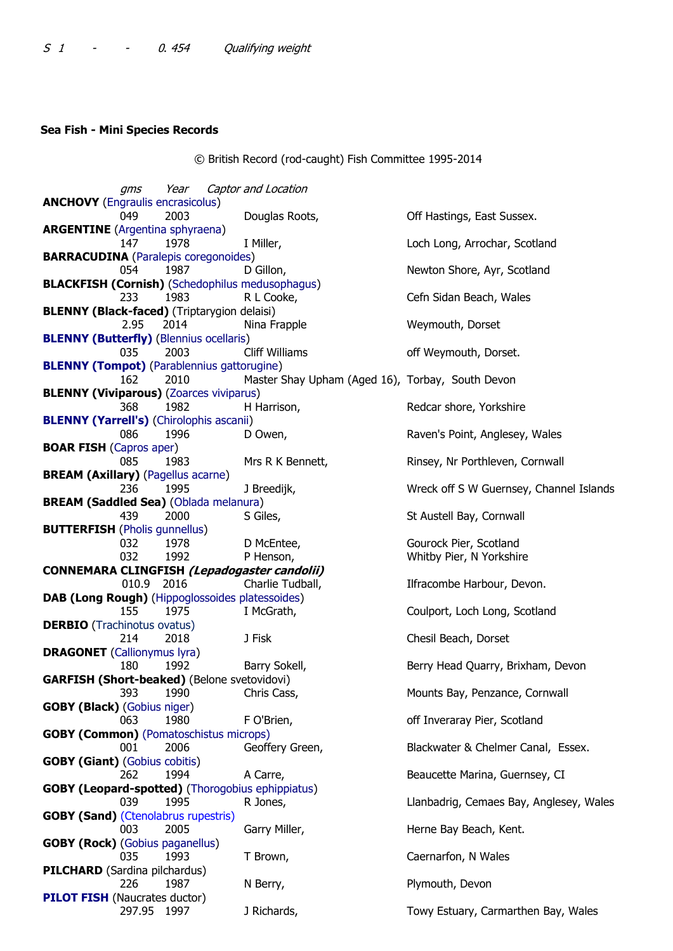## **Sea Fish - Mini Species Records**

© British Record (rod-caught) Fish Committee 1995-2014

gms Year Captor and Location **ANCHOVY** [\(Engraulis encrasicolus\)](http://www.fishbase.org/?genusname=Engraulis&speciesname=encrasicolus) 049 2003 Douglas Roots, Contract Hastings, East Sussex. **ARGENTINE** [\(Argentina sphyraena\)](http://www.fishbase.org/?genusname=Argentina&speciesname=sphyraena) 147 1978 I Miller, **Loch Long, Arrochar, Scotland BARRACUDINA** [\(Paralepis coregonoides\)](http://www.fishbase.org/?genusname=Paralepis&speciesname=coregonoides) 054 1987 D Gillon, Newton Shore, Ayr, Scotland **BLACKFISH (Cornish)** [\(Schedophilus medusophagus\)](http://www.fishbase.org/?genusname=Schedophilus&speciesname=medusophagus) 233 1983 R L Cooke, Cefn Sidan Beach, Wales **BLENNY (Black-faced)** (Triptarygion delaisi) 2.95 2014 Nina Frapple Weymouth, Dorset **[BLENNY \(Butterfly\)](http://www.nfsa.org.uk/ntcg/brfc/pictures/butterfly_blenny_record.jpg)** [\(Blennius ocellaris\)](http://www.fishbase.org/?genusname=Blennius&speciesname=ocellaris) 035 2003 Cliff Williams off Weymouth, Dorset. **[BLENNY \(Tompot\)](http://www.nfsa.org.uk/ntcg/brfc/pictures/tompot_blenny_record.jpg)** [\(Parablennius gattorugine\)](http://www.fishbase.org/?genusname=Parablennius&speciesname=gattorugine) 162 2010 Master Shay Upham (Aged 16), Torbay, South Devon **BLENNY (Viviparous)** [\(Zoarces viviparus\)](http://www.fishbase.org/?genusname=Zoarces&speciesname=viviparus) 368 1982 H Harrison, Redcar shore, Yorkshire **[BLENNY \(Yarrell's\)](http://www.nfsa.org.uk/ntcg/brfc/pictures/yarrell)** [\(Chirolophis ascanii\)](http://www.fishbase.org/?genusname=Chirolophis&speciesname=ascanii) 086 1996 D Owen, The Baven's Point, Anglesey, Wales **BOAR FISH** [\(Capros aper\)](http://www.fishbase.org/?genusname=Capros&speciesname=aper) 085 1983 Mrs R K Bennett, Rinsey, Nr Porthleven, Cornwall **BREAM (Axillary)** [\(Pagellus acarne\)](http://www.fishbase.org/?genusname=Pagellus&speciesname=acarne) 236 1995 J Breedijk, North Mickel By Wreck off S W Guernsey, Channel Islands **BREAM (Saddled Sea)** [\(Oblada melanura\)](http://www.fishbase.org/?genusname=Oblada&speciesname=melanura) 439 2000 S Giles, Samman St Austell Bay, Cornwall **BUTTERFISH** [\(Pholis gunnellus\)](http://www.fishbase.org/?genusname=Pholis&speciesname=gunnellus) 032 1978 D McEntee, Gourock Pier, Scotland 032 1992 P Henson, Whitby Pier, N Yorkshire **CONNEMARA CLINGFISH (Lepadogaster candolii)** 010.9 2016 Charlie Tudball, Ilfracombe Harbour, Devon. **DAB (Long Rough)** [\(Hippoglossoides platessoides\)](http://www.fishbase.org/?genusname=Hippoglossoides&speciesname=platessoides) 155 1975 I McGrath, Coulport, Loch Long, Scotland **DERBIO** (Trachinotus ovatus) 214 2018 J Fisk Chesil Beach, Dorset **DRAGONET** [\(Callionymus lyra\)](http://www.fishbase.org/?genusname=Callionymus&speciesname=lyra) 180 1992 Barry Sokell, Berry Head Quarry, Brixham, Devon **GARFISH (Short-beaked)** (Belone svetovidovi) 393 1990 Chris Cass, Mounts Bay, Penzance, Cornwall **GOBY (Black)** [\(Gobius niger\)](http://www.fishbase.org/?genusname=Gobius&speciesname=niger) 063 1980 F O'Brien, **Example 20 September 1980** F O'Brien, Scotland **GOBY (Common)** (Pomatoschistus microps) 001 2006 Geoffery Green, Blackwater & Chelmer Canal, Essex. **GOBY (Giant)** [\(Gobius cobitis\)](http://www.fishbase.org/?genusname=Gobius&speciesname=cobitis) 262 1994 A Carre, **Beaucette Marina, Guernsey, CI GOBY (Leopard-spotted)** [\(Thorogobius ephippiatus\)](http://www.fishbase.org/?genusname=Thorogobius&speciesname=ephippiatus) 039 1995 R Jones, Llanbadrig, Cemaes Bay, Anglesey, Wales **GOBY (Sand)** (Ctenolabrus rupestris) 003 2005 Garry Miller, **Herne Bay Beach, Kent. GOBY (Rock)** [\(Gobius paganellus\)](http://www.fishbase.org/?genusname=Gobius&speciesname=paganellus) 035 1993 T Brown, Caernarfon, N Wales **PILCHARD** (Sardina pilchardus) 226 1987 N Berry, Plymouth, Devon **[PILOT FISH](http://www.nfsa.org.uk/ntcg/brfc/pictures/pilot_fish_record.jpg)** (Naucrates ductor) 297.95 1997 J Richards, The Towy Estuary, Carmarthen Bay, Wales